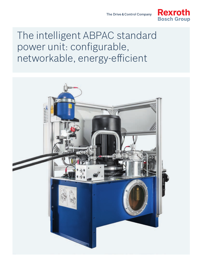

# The intelligent ABPAC standard power unit: configurable, networkable, energy-efficient

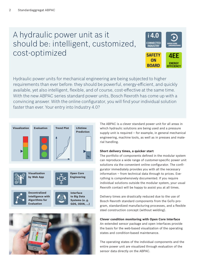# A hydraulic power unit as it should be: intelligent, customized, cost-optimized



Hydraulic power units for mechanical engineering are being subjected to higher requirements than ever before: they should be powerful, energy-efficient, and quickly available, yet also intelligent, flexible, and of course, cost-effective at the same time. With the new ABPAC series standard power units, Bosch Rexroth has come up with a convincing answer. With the online configurator, you will find your individual solution faster than ever. Your entry into Industry 4.0?





The ABPAC is a clever standard power unit for all areas in which hydraulic solutions are being used and a pressure supply unit is required – for example, in general mechanical engineering, machine tools, as well as in presses and material handling.

#### **Short delivery times, a quicker start**

The portfolio of components defined in the modular system can reproduce a wide range of customer-specific power unit solutions via the convenient online configurator. The configurator immediately provides you with all the necessary information – from technical data through to prices. Everything is comprehensively documented. If you require individual solutions outside the modular system, your usual Rexroth contact will be happy to assist you at all times.

Delivery times are drastically reduced due to the use of Bosch Rexroth standard components from the GoTo program, standardized manufacturing processes, and a flexible steel construction concept (without welding).

### **Clever condition monitoring with Open Core Interface**

An extended sensor package and open interfaces provide the basis for the web-based visualization of the operating states and condition-based maintenance.

The operating states of the individual components and the entire power unit are visualized through evaluation of the sensor data directly on the ABPAC.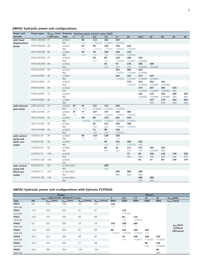### **ABPAC hydraulic power unit configurations**

| <b>Power unit</b>                                | <b>Pump types</b> |           |                      | Q <sub>thmax</sub> I/min Pressure Nominal power electric motor [kW] |         |         |           |           |                |            |         |         |     |     |
|--------------------------------------------------|-------------------|-----------|----------------------|---------------------------------------------------------------------|---------|---------|-----------|-----------|----------------|------------|---------|---------|-----|-----|
| variants                                         |                   | 1.450 rpm | <b>Tank</b>          | 3                                                                   | 4       | 5,5     | 7,5       | 11        | 15             | 18,5       | 22      | 30      | 37  | 45  |
| with fixed                                       | PGF2-2X/019 27    |           | p [bar]              |                                                                     | 82      | 112     | 153       | 210       |                |            |         |         |     |     |
| displacement                                     |                   |           | <b>NG</b>            |                                                                     | 100     | 100 160 | 100 160   | 160 250   |                |            |         |         |     |     |
| pump                                             | PGF3-3X/020 29    |           | p [bar]              |                                                                     | 67      | 94      | 130       | 195       | 210            |            |         |         |     |     |
|                                                  |                   |           | <b>NG</b>            |                                                                     | 100     | 100 160 | 100 160   | 160 250   | 160 250        |            |         |         |     |     |
|                                                  | PGF3-3X/025 36    |           | p [bar]              |                                                                     | 53      | 76      | 105       | 156       | 210            |            |         |         |     |     |
|                                                  |                   |           | <b>NG</b>            |                                                                     | 160     | 160     | 160       | 160 250   | 160 250        |            |         |         |     |     |
|                                                  | PGF3-3X/032 47    |           | p [bar]              |                                                                     |         | 65      | 89        | 132       | 180            | 210        |         |         |     |     |
|                                                  |                   |           | <b>NG</b>            |                                                                     |         | 160     | 160       | 160 250   | 160 250        | 250 400    |         |         |     |     |
|                                                  | PGF3-3X/040 58    |           | p [bar]              |                                                                     |         |         | 63        | 97        | 135            | 169        | 180     |         |     |     |
|                                                  |                   |           | <b>NG</b>            |                                                                     |         |         | 250       | 250       | 250            | 250 400    | 250 400 |         |     |     |
|                                                  | PGH4-X/020        | 29        | p [bar]              |                                                                     |         |         |           | 203       | 280            | 315        |         |         |     |     |
|                                                  |                   |           | <b>NG</b>            |                                                                     |         |         |           | 160 250   | 160 250        | 250 400    |         |         |     |     |
|                                                  | PGH4-X/025        | 36        | p [bar]              |                                                                     |         |         |           | 161       | 221            | 274        | 315     |         |     |     |
|                                                  |                   |           | <b>NG</b>            |                                                                     |         |         |           | 160 250   | 160 250        | 250 400    | 250 400 |         |     |     |
|                                                  | PGH4-X/032        | 47        | p [bar]              |                                                                     |         |         |           |           | 173            | 212        | 252     | 315     |     |     |
|                                                  |                   |           | <b>NG</b>            |                                                                     |         |         |           |           | 160 250        | 250 400    | 250 400 | 250 400 |     |     |
|                                                  | PGH4-X/040        | 58        | p [bar]              |                                                                     |         |         |           |           |                | 174        | 207     | 281     | 315 |     |
|                                                  |                   |           | <b>NG</b>            |                                                                     |         |         |           |           |                | 250 400    | 250 400 | 250 400 | 400 |     |
|                                                  | PGH4-X/050        | 73        | p [bar]              |                                                                     |         |         |           |           |                | 142        | 170     | 233     | 250 | 250 |
|                                                  |                   |           | <b>NG</b>            |                                                                     |         |         |           |           |                | 250 400    | 250 400 | 250 400 | 400 | 400 |
|                                                  | PGH5-X/063        | 93        | p [bar]              |                                                                     |         |         |           |           |                |            | 127     | 175     | 216 | 265 |
|                                                  |                   |           | <b>NG</b>            |                                                                     |         |         |           |           |                |            | 400     | 400     | 400 | 400 |
| with external<br>gear pump                       | AZPJ-22-016       | 22        | p [bar]              | 67                                                                  | 91      | 127     | 174       | 250       |                |            |         |         |     |     |
|                                                  |                   |           | <b>NG</b>            | 100                                                                 | 100     | 100 160 | 100 160   | 160 250   |                |            |         |         |     |     |
|                                                  | AZPJ-22-019       | 27        | p [bar]              | 57                                                                  | 77      | 107     | 147       | 215       | 250            |            |         |         |     |     |
|                                                  |                   |           | <b>NG</b>            | 100                                                                 | 100     | 100 160 | 100 160   | 160 250   | 160 250        |            |         |         |     |     |
|                                                  | AZPJ-22-022       | 31        | p [bar]              |                                                                     | 64      | 89      | 123       | 181       | 210            |            |         |         |     |     |
|                                                  |                   |           | <b>NG</b>            |                                                                     | 100 160 | 100 160 | 100 160   | 160 250   | 160 250        |            |         |         |     |     |
|                                                  | AZPJ-22-025       | 35        | p [bar]              |                                                                     |         | 81      | 111       | 165       | 185            |            |         |         |     |     |
|                                                  |                   |           | <b>NG</b>            |                                                                     |         | 160     | 160       | 160 250   | 160 250        |            |         |         |     |     |
|                                                  | AZPJ-22-028       | 39        | p [bar]              |                                                                     |         | 71      | 98        | 130       |                |            |         |         |     |     |
|                                                  |                   |           | <b>NG</b>            |                                                                     |         | 160     | 160       | 160 250   |                |            |         |         |     |     |
| with control                                     | A10VSO 18         | 26        | p [bar]              |                                                                     | 90      | 110     | 138       | 228       |                |            |         |         |     |     |
| pump and<br>DFR1 con-<br>troller                 |                   |           | <b>NG</b>            |                                                                     | 100     | 100     | 100<br>95 | 160       | 180            |            |         |         |     |     |
|                                                  | A10VSO 28         | 40        | p [bar]              |                                                                     |         |         |           | 132       |                | 222        |         |         |     |     |
|                                                  | A10VSO 45         | 65        | <b>NG</b>            |                                                                     |         |         | 160<br>60 | 160<br>81 | 160 250<br>111 | 250        | 162     | 222     |     |     |
|                                                  |                   |           | p [bar]<br><b>NG</b> |                                                                     |         |         | 250       | 250       | 250            | 137<br>250 | 250 400 | 400     |     |     |
|                                                  | A10VSO 71         | 102       | p [bar]              |                                                                     |         |         |           |           | 72             | 89         | 106     | 144     | 178 | 220 |
|                                                  |                   |           | <b>NG</b>            |                                                                     |         |         |           |           | 400            | 400        | 400     | 400     | 400 | 400 |
|                                                  | A10VSO 100        | 145       | p [bar]              |                                                                     |         |         |           |           |                | 61         | 73      | 99      | 136 | 170 |
|                                                  |                   |           | <b>NG</b>            |                                                                     |         |         |           |           |                |            |         |         |     |     |
| with control<br>pump and<br>DFLR con-<br>troller | A10VSO 45         | 65        | p max [bar]          |                                                                     |         |         | 280       |           |                |            |         |         |     |     |
|                                                  |                   |           | NG                   |                                                                     |         |         | 250       |           |                |            |         |         |     |     |
|                                                  | A10VSO 71         | 102       | p max [bar]          |                                                                     |         |         |           | 280       | 280            | 280        |         |         |     |     |
|                                                  |                   |           | <b>NG</b>            |                                                                     |         |         |           | 400       | 400            | 400        |         |         |     |     |
|                                                  | A10VSO 100        | 145       | p max [bar]          |                                                                     |         |         |           |           |                | 280        | 280     |         |     |     |
|                                                  |                   |           | <b>NG</b>            |                                                                     |         |         |           |           |                | 400        | 400     |         |     |     |

## **ABPAC hydraulic power unit configurations with Sytronix FCP5020**

|                  | <b>Pumps</b> |                                         |                 |                                  |                          |         |         | <b>Motors</b>  |         |         |                                    |  |  |  |
|------------------|--------------|-----------------------------------------|-----------------|----------------------------------|--------------------------|---------|---------|----------------|---------|---------|------------------------------------|--|--|--|
|                  |              | $n_{max}$ = 3000 (PGH); 3600(PGF) U/min | 4               | 5,5                              | 7,5                      | 11      | 15      | $P_{nom}$ [kW] |         |         |                                    |  |  |  |
| <b>Type</b>      | <b>NG</b>    | $p_{\text{cont}}$ [bar]                 | $p_{max}$ [bar] | $Q_{\text{perf}}$ [ $\sqrt{I}$ ] | $Q_{\text{max}}$ [I/min] | 4000    | 4000    | 4000           | 3800    | 3800    | $n_{max}$ [rpm]                    |  |  |  |
| PGF <sub>2</sub> | 8,0          | 210                                     | 250             | 19                               | 29                       | 139     |         |                |         |         |                                    |  |  |  |
| Tank NS          |              |                                         |                 |                                  |                          | 100     |         |                |         |         |                                    |  |  |  |
| PGF <sub>2</sub> | 13,0         | 210                                     | 250             | 31                               | 47                       |         | 119     |                |         |         |                                    |  |  |  |
| Tank NS          |              |                                         |                 |                                  |                          |         | 100 160 |                |         |         |                                    |  |  |  |
| PGF <sub>2</sub> | 19,0         | 210                                     | 250             | 46                               | 68                       |         | 84      | 114            |         |         |                                    |  |  |  |
| Tank NS          |              |                                         |                 |                                  |                          |         | 160     | 160 250        |         |         |                                    |  |  |  |
| PGH <sub>2</sub> | 8,0          | 315                                     | 350             | 19                               | 24                       | 143     | 198     | 269            |         |         |                                    |  |  |  |
| Tank NS          |              |                                         |                 |                                  |                          | 100     | 100     | 100            |         |         | $p_{\text{eff}}$ [bar]<br>(without |  |  |  |
| PGH <sub>3</sub> | 13,0         | 315                                     | 350             | 31                               | 39                       | 88      | 122     | 166            | 244     |         | efficiency)                        |  |  |  |
| Tank NS          |              |                                         |                 |                                  |                          | 100 160 | 100 160 | 100 160        | 160     |         |                                    |  |  |  |
| PGH4             | 20,0         | 315                                     | 350             | 48                               | 60                       |         | 79      | 108            | 158     | 216     |                                    |  |  |  |
| Tank NS          |              |                                         |                 |                                  |                          |         | 160     | 160 250        | 160 250 | 160 250 |                                    |  |  |  |
| PGH4             | 32,0         | 315                                     | 350             | 77                               | 98                       |         |         |                | 99      | 135     |                                    |  |  |  |
| Tank NS          |              |                                         |                 |                                  |                          |         |         |                | 250     | 250 400 |                                    |  |  |  |
| PGH4             | 50,0         | 250                                     | 310             | 120                              | 152                      |         |         |                |         | 86      |                                    |  |  |  |
| Tank NS          |              |                                         |                 |                                  |                          |         |         |                |         | 400     |                                    |  |  |  |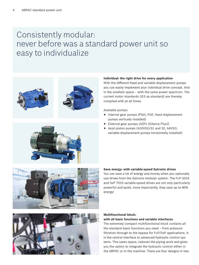# Consistently modular: never before was a standard power unit so easy to individualize





#### **Individual: the right drive for every application**

With the different fixed and variable displacement pumps you can easily implement your individual drive concept. And in the smallest space – with the same power spectrum. The current motor standards (IE3 as standard) are thereby complied with at all times.

Available pumps:

- ▶ Internal gear pumps (PGH, PGF, fixed displacement pumps vertically installed)
- ▶ External gear pumps (AZPJ (Silence Plus))
- $\blacktriangleright$  Axial piston pumps (A10VSO/31 and 32, A4VSO, variable displacement pumps horizontally installed)



#### **Save energy: with variable-speed Sytronix drives**

You can save a lot of energy and money when you optionally use drives from the Sytronix modular system. The FcP 5010 and SvP 7010 variable-speed drives are not only particularly powerful and quiet, more importantly, they save up to 80% energy!



#### **Multifunctional block: with all basic functions and variable interfaces**

The extremely compact multifunctional block contains all the standard basic functions you need – from pressure filtration through to the bypass for FcP/SvP applications. It is the central interface to advanced hydraulic control systems. This saves space, reduces the piping work and gives you the option to integrate the hydraulic control either in the ABPAC or in the machine. There are four designs in two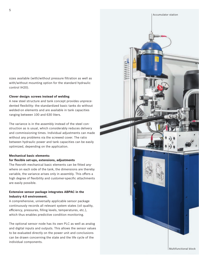sizes available (with/without pressure filtration as well as with/without mounting option for the standard hydraulic control IH20).

#### **Clever design: screws instead of welding**

A new steel structure and tank concept provides unprecedented flexibility: the standardized basic tanks do without welded-on elements and are available in tank capacities ranging between 100 and 630 liters.

The variance is in the assembly instead of the steel construction as is usual, which considerably reduces delivery and commissioning times. Individual adjustments can made without any problems via the screwed cover. The ratio between hydraulic power and tank capacities can be easily optimized, depending on the application.

#### **Mechanical basic elements:**

#### **for flexible set-ups, extensions, adjustments**

The Rexroth mechanical basic elements can be fitted anywhere on each side of the tank, the dimensions are thereby variable, the variance arises only in assembly. This offers a high degree of flexibility and customer-specific attachments are easily possible.

#### **Extensive sensor package integrates ABPAC in the Industry 4.0 environment.**

A comprehensive, universally applicable sensor package continuously records all relevant system states (oil quality, efficiency, pressures, filling levels, temperatures, etc.), which thus enables predictive condition monitoring.

The optional sensor node has its own PLC as well as analog and digital inputs and outputs. This allows the sensor values to be evaluated directly on the power unit and conclusions can be drawn concerning the state and the life cycle of the individual components.

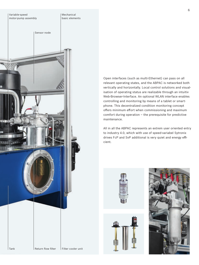

Open interfaces (such as multi-Ethernet) can pass on all relevant operating states, and the ABPAC is networked both vertically and horizontally. Local control solutions and visualisation of operating status are realizable through an intuitiv Web-Browser-Interface. An optional WLAN interface enables controlling and monitoring by means of a tablet or smartphone. This decentralized condition monitoring concept offers minimum effort when commissioning and maximum comfort during operation – the prerequisite for predictive maintenance.

All in all the ABPAC represents an extrem user oriented entry to industry 4.0, which with use of speed-variabel Sytronix drives FcP and SvP additional is very quiet and energy efficient.





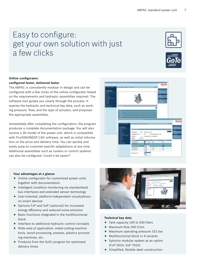# Easy to configure: get your own solution with just a few clicks





## **Online configurator:**

#### **configured faster, delivered faster**

The ABPAC is consistently modular in design and can be configured with a few clicks of the online configurator based on the requirements and hydraulic assemblies required. The software tool guides you clearly through the process. It queries the hydraulic and technical key data, such as working pressure, flow, and the type of actuator, and proposes the appropriate assemblies.

Immediately after completing the configuration, the program produces a complete documentation package. You will also receive a 3D model of the power unit, which is compatible with Pro/ENGINEER CAD software, as well as initial information on the price and delivery time. You can quickly and easily jump to customer-specific adaptations at any time. Additional assemblies such as coolers or control systems can also be configured. Could it be easier?



#### **Your advantages at a glance**

- $\triangleright$  Online configurator for customized power units together with documentation
- $\blacktriangleright$  Intelligent condition monitoring via standardized bus interfaces and extended sensor technology
- $\blacktriangleright$  User-oriented, platform-independent visualizations on smart devices
- $\triangleright$  Sytronix FcP and SvP (optional) for increased energy efficiency and reduced noise emission
- $\blacktriangleright$  Basic functions integrated in the multifunctional block
- $\blacktriangleright$  Interface to additional hydraulic control concepts
- $\blacktriangleright$  Wide area of application: metal-cutting machine tools, wood processing, presses, plastics processing machines, etc.
- $\blacktriangleright$  Products from the GoTo program for optimized delivery times



#### **Technical key data**

- $\blacktriangleright$  Tank capacity 100 to 630 liters
- $\blacktriangleright$  Maximum flow 200 l/min
- $\blacktriangleright$  Maximum operating pressure 315 bar
- $\blacktriangleright$  Multifunctional block in 4 variants
- $\blacktriangleright$  Sytronix modular system as an option (FcP 5010, SvP 7010)
- $\blacktriangleright$  Simplified, flexible steel construction